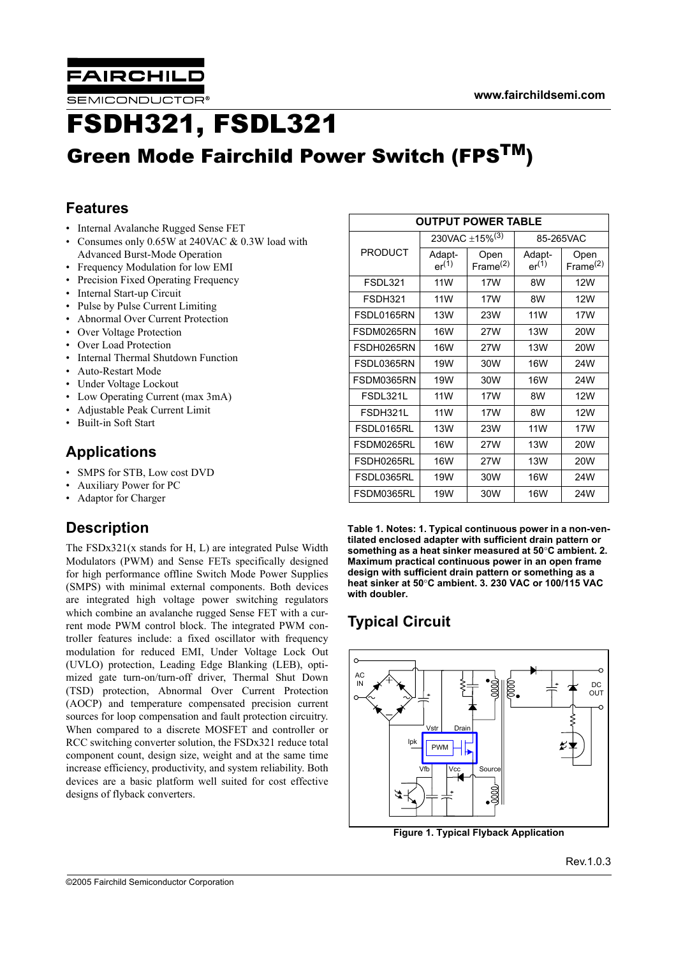

**SEMICONDUCTOR** 

# FSDH321, FSDL321 Green Mode Fairchild Power Switch (FPSTM)

### **Features**

- Internal Avalanche Rugged Sense FET
- Consumes only 0.65W at 240VAC & 0.3W load with Advanced Burst-Mode Operation
- Frequency Modulation for low EMI
- Precision Fixed Operating Frequency
- Internal Start-up Circuit
- Pulse by Pulse Current Limiting
- Abnormal Over Current Protection
- Over Voltage Protection
- Over Load Protection
- Internal Thermal Shutdown Function
- Auto-Restart Mode
- Under Voltage Lockout
- Low Operating Current (max 3mA)
- Adjustable Peak Current Limit
- Built-in Soft Start

### **Applications**

- SMPS for STB, Low cost DVD
- Auxiliary Power for PC
- Adaptor for Charger

### **Description**

The FSDx321(x stands for H, L) are integrated Pulse Width Modulators (PWM) and Sense FETs specifically designed for high performance offline Switch Mode Power Supplies (SMPS) with minimal external components. Both devices are integrated high voltage power switching regulators which combine an avalanche rugged Sense FET with a current mode PWM control block. The integrated PWM controller features include: a fixed oscillator with frequency modulation for reduced EMI, Under Voltage Lock Out (UVLO) protection, Leading Edge Blanking (LEB), optimized gate turn-on/turn-off driver, Thermal Shut Down (TSD) protection, Abnormal Over Current Protection (AOCP) and temperature compensated precision current sources for loop compensation and fault protection circuitry. When compared to a discrete MOSFET and controller or RCC switching converter solution, the FSDx321 reduce total component count, design size, weight and at the same time increase efficiency, productivity, and system reliability. Both devices are a basic platform well suited for cost effective designs of flyback converters.

| <b>OUTPUT POWER TABLE</b> |                      |                            |                      |                              |  |  |
|---------------------------|----------------------|----------------------------|----------------------|------------------------------|--|--|
|                           |                      | 230VAC ±15% <sup>(3)</sup> | 85-265VAC            |                              |  |  |
| <b>PRODUCT</b>            | Adapt-<br>$er^{(1)}$ | Open<br>Frame $(2)$        | Adapt-<br>$er^{(1)}$ | Open<br>Frame <sup>(2)</sup> |  |  |
| <b>FSDL321</b>            | 11W                  | 17W                        | 8W                   | <b>12W</b>                   |  |  |
| FSDH321                   | 11W                  | 17W                        | 8W                   | <b>12W</b>                   |  |  |
| FSDL0165RN                | <b>13W</b>           | 23W                        | 11W                  | 17W                          |  |  |
| FSDM0265RN                | <b>16W</b>           | 27W                        | <b>13W</b>           | <b>20W</b>                   |  |  |
| FSDH0265RN                | <b>16W</b>           | 27W                        | <b>13W</b>           | <b>20W</b>                   |  |  |
| FSDL0365RN                | 19W                  | 30W                        | <b>16W</b>           | 24W                          |  |  |
| FSDM0365RN                | 19W                  | 30W                        | <b>16W</b>           | 24W                          |  |  |
| FSDL321L                  | 11W                  | 17W                        | 8W                   | 12W                          |  |  |
| FSDH321L                  | 11W                  | 17W                        | 8W                   | 12W                          |  |  |
| FSDL0165RL                | 13W                  | 23W                        | <b>11W</b>           | 17W                          |  |  |
| FSDM0265RL                | 16W                  | 27W                        | 13W                  | 20W                          |  |  |
| FSDH0265RL                | 16W                  | 27W                        | <b>13W</b>           | 20W                          |  |  |
| FSDL0365RL                | 19W                  | 30W                        | <b>16W</b>           | 24W                          |  |  |
| FSDM0365RL                | 19W                  | 30W                        | <b>16W</b>           | 24W                          |  |  |

**Table 1. Notes: 1. Typical continuous power in a non-ventilated enclosed adapter with sufficient drain pattern or something as a heat sinker measured at 50**°**C ambient. 2. Maximum practical continuous power in an open frame design with sufficient drain pattern or something as a heat sinker at 50**°**C ambient. 3. 230 VAC or 100/115 VAC with doubler.**

## **Typical Circuit**



**Figure 1. Typical Flyback Application**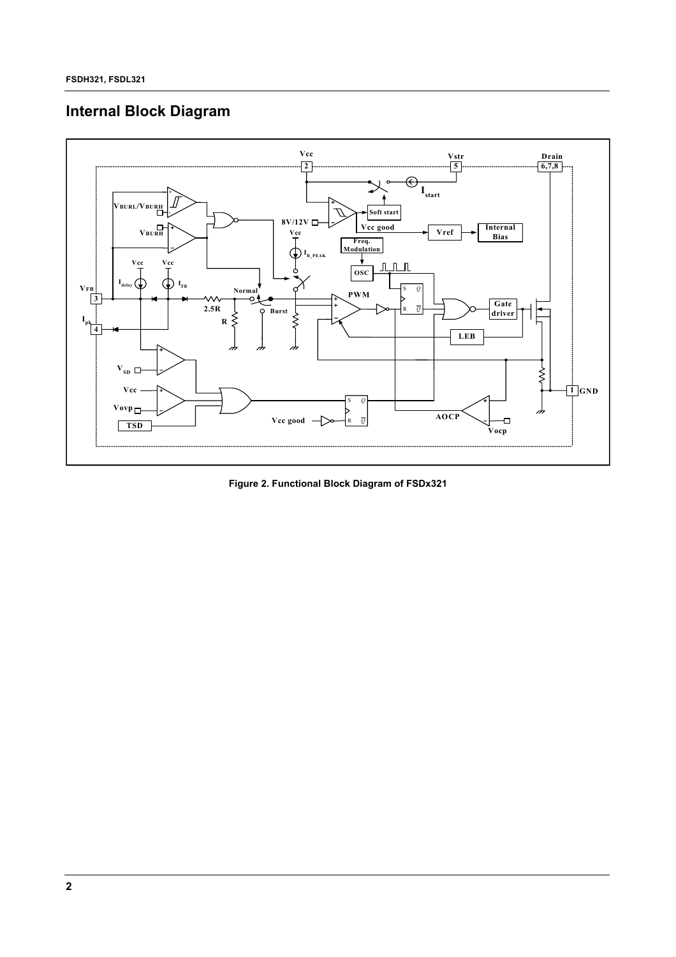## **Internal Block Diagram**



**Figure 2. Functional Block Diagram of FSDx321**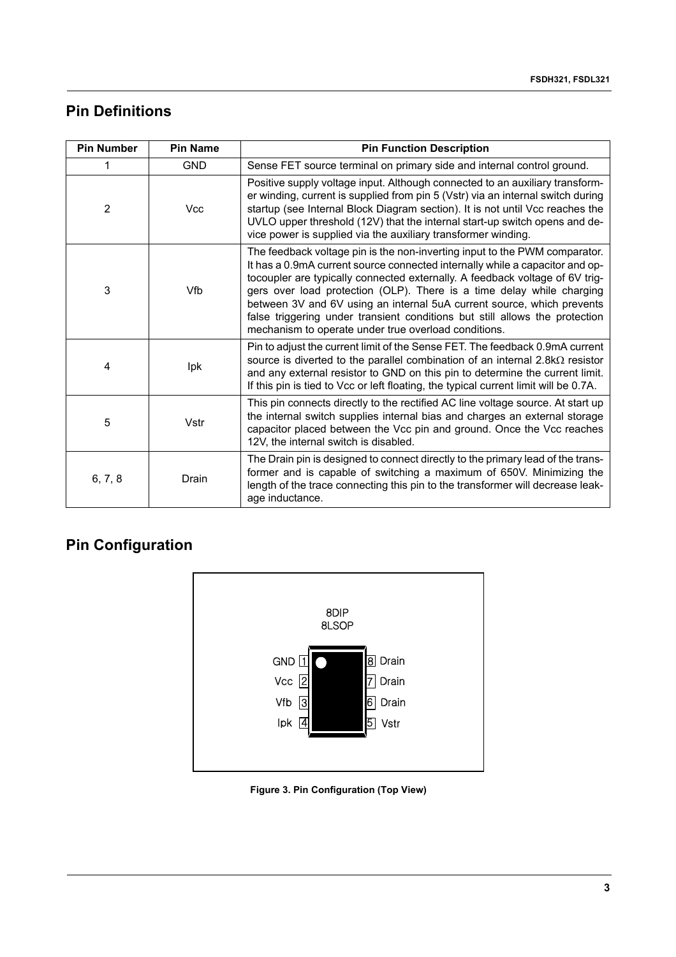### **Pin Definitions**

| <b>Pin Number</b> | <b>Pin Name</b> | <b>Pin Function Description</b>                                                                                                                                                                                                                                                                                                                                                                                                                                                                                                      |
|-------------------|-----------------|--------------------------------------------------------------------------------------------------------------------------------------------------------------------------------------------------------------------------------------------------------------------------------------------------------------------------------------------------------------------------------------------------------------------------------------------------------------------------------------------------------------------------------------|
|                   | <b>GND</b>      | Sense FET source terminal on primary side and internal control ground.                                                                                                                                                                                                                                                                                                                                                                                                                                                               |
| 2                 | <b>Vcc</b>      | Positive supply voltage input. Although connected to an auxiliary transform-<br>er winding, current is supplied from pin 5 (Vstr) via an internal switch during<br>startup (see Internal Block Diagram section). It is not until Vcc reaches the<br>UVLO upper threshold (12V) that the internal start-up switch opens and de-<br>vice power is supplied via the auxiliary transformer winding.                                                                                                                                      |
| 3                 | Vfb             | The feedback voltage pin is the non-inverting input to the PWM comparator.<br>It has a 0.9mA current source connected internally while a capacitor and op-<br>tocoupler are typically connected externally. A feedback voltage of 6V trig-<br>gers over load protection (OLP). There is a time delay while charging<br>between 3V and 6V using an internal 5uA current source, which prevents<br>false triggering under transient conditions but still allows the protection<br>mechanism to operate under true overload conditions. |
| 4                 | Ipk             | Pin to adjust the current limit of the Sense FET. The feedback 0.9mA current<br>source is diverted to the parallel combination of an internal $2.8k\Omega$ resistor<br>and any external resistor to GND on this pin to determine the current limit.<br>If this pin is tied to Vcc or left floating, the typical current limit will be 0.7A.                                                                                                                                                                                          |
| 5                 | Vstr            | This pin connects directly to the rectified AC line voltage source. At start up<br>the internal switch supplies internal bias and charges an external storage<br>capacitor placed between the Vcc pin and ground. Once the Vcc reaches<br>12V, the internal switch is disabled.                                                                                                                                                                                                                                                      |
| 6, 7, 8           | Drain           | The Drain pin is designed to connect directly to the primary lead of the trans-<br>former and is capable of switching a maximum of 650V. Minimizing the<br>length of the trace connecting this pin to the transformer will decrease leak-<br>age inductance.                                                                                                                                                                                                                                                                         |

## **Pin Configuration**



**Figure 3. Pin Configuration (Top View)**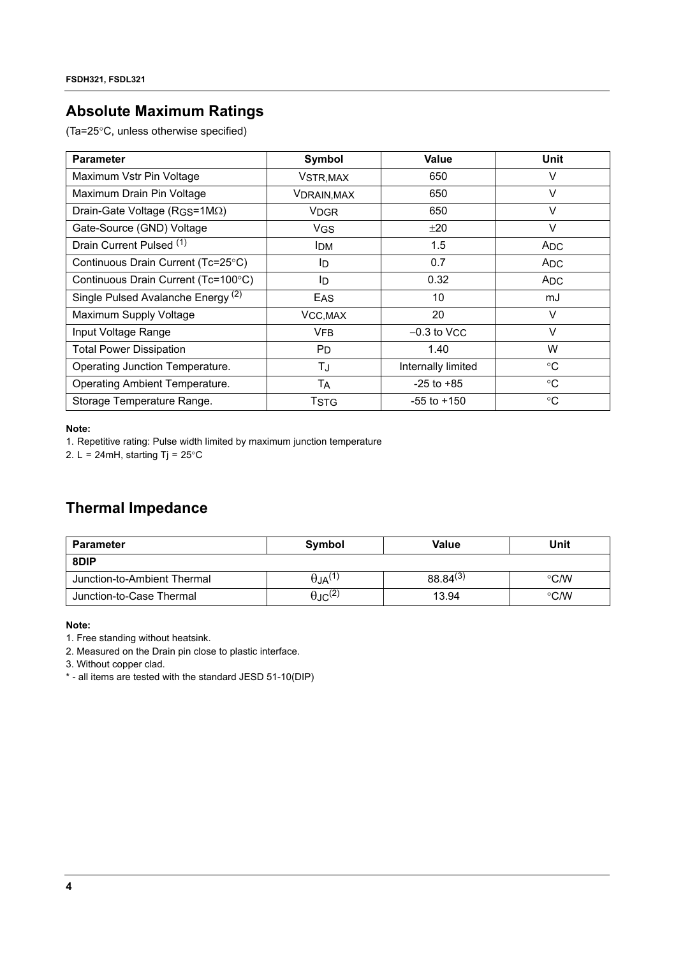### **Absolute Maximum Ratings**

(Ta=25°C, unless otherwise specified)

| <b>Parameter</b>                              | Symbol             | Value              | Unit            |
|-----------------------------------------------|--------------------|--------------------|-----------------|
| Maximum Vstr Pin Voltage                      | VSTR, MAX          | 650                | $\vee$          |
| Maximum Drain Pin Voltage                     | <b>VDRAIN, MAX</b> | 650                | $\vee$          |
| Drain-Gate Voltage ( $RGS=1M\Omega$ )         | <b>VDGR</b>        | 650                | $\vee$          |
| Gate-Source (GND) Voltage                     | <b>VGS</b>         | ±20                | $\vee$          |
| Drain Current Pulsed (1)                      | <b>IDM</b>         | 1.5                | A <sub>DC</sub> |
| Continuous Drain Current (Tc=25°C)            | ID                 | 0.7                | A <sub>DC</sub> |
| Continuous Drain Current (Tc=100°C)           | ID                 | 0.32               | <b>ADC</b>      |
| Single Pulsed Avalanche Energy <sup>(2)</sup> | <b>EAS</b>         | 10                 | mJ              |
| Maximum Supply Voltage                        | VCC, MAX           | 20                 | $\vee$          |
| Input Voltage Range                           | <b>VFB</b>         | $-0.3$ to VCC      | $\vee$          |
| <b>Total Power Dissipation</b>                | P <sub>D</sub>     | 1.40               | W               |
| Operating Junction Temperature.               | TJ                 | Internally limited | $^{\circ}$ C    |
| Operating Ambient Temperature.                | Tд                 | $-25$ to $+85$     | $^{\circ}C$     |
| Storage Temperature Range.                    | Tstg               | $-55$ to $+150$    | $^{\circ}C$     |

**Note:**

1. Repetitive rating: Pulse width limited by maximum junction temperature

2. L = 24mH, starting Tj =  $25^{\circ}$ C

### **Thermal Impedance**

| Parameter                   | Symbol                     | Value         | Unit          |  |
|-----------------------------|----------------------------|---------------|---------------|--|
| 8DIP                        |                            |               |               |  |
| Junction-to-Ambient Thermal | $\theta$ JA <sup>(1)</sup> | $88.84^{(3)}$ | $\degree$ C/W |  |
| Junction-to-Case Thermal    | $\theta$ JC <sup>(2)</sup> | 13.94         | $\degree$ C/W |  |

#### **Note:**

1. Free standing without heatsink.

2. Measured on the Drain pin close to plastic interface.

3. Without copper clad.

\* - all items are tested with the standard JESD 51-10(DIP)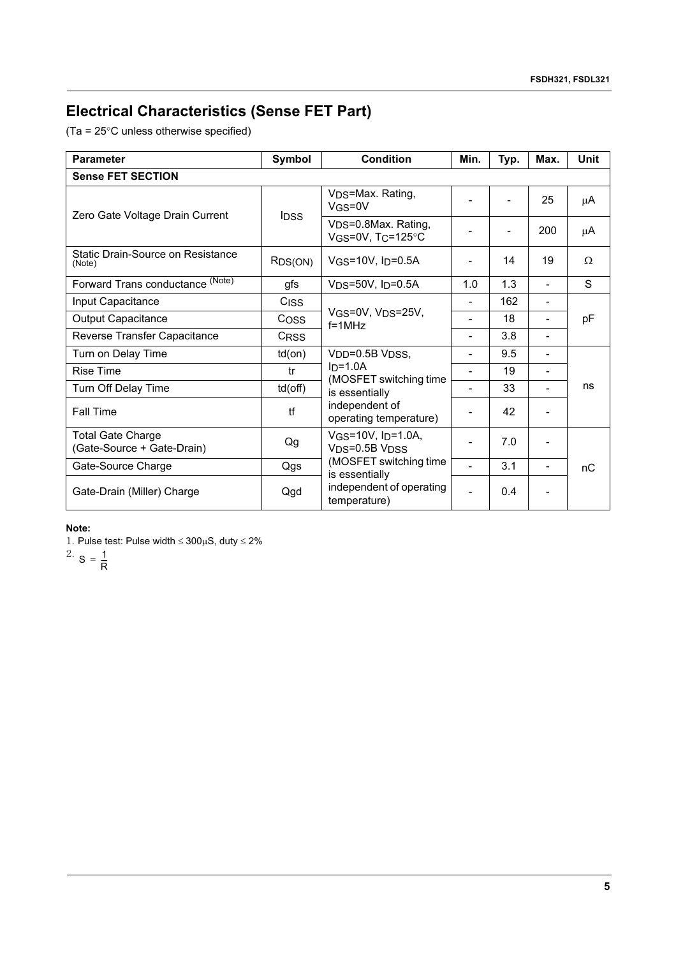## **Electrical Characteristics (Sense FET Part)**

(Ta = 25°C unless otherwise specified)

| <b>Parameter</b>                                       | Symbol           | <b>Condition</b>                                   | Min.           | Typ. | Max.                     | <b>Unit</b> |
|--------------------------------------------------------|------------------|----------------------------------------------------|----------------|------|--------------------------|-------------|
| <b>Sense FET SECTION</b>                               |                  |                                                    |                |      |                          |             |
| Zero Gate Voltage Drain Current                        | <b>IDSS</b>      | V <sub>DS</sub> =Max. Rating,<br>VGS=0V            |                |      | 25                       | μA          |
|                                                        |                  | VDS=0.8Max. Rating,<br>VGS=0V, $T_C$ =125°C        |                |      | 200                      | μA          |
| Static Drain-Source on Resistance<br>(Note)            | RDS(ON)          | VGS=10V, ID=0.5A                                   | $\overline{a}$ | 14   | 19                       | $\Omega$    |
| Forward Trans conductance (Note)                       | gfs              | $VDS=50V$ , $I_D=0.5A$                             | 1.0            | 1.3  | ۰                        | S           |
| Input Capacitance                                      | C <sub>ISS</sub> |                                                    | $\overline{a}$ | 162  | $\overline{\phantom{a}}$ | pF          |
| <b>Output Capacitance</b>                              | Coss             | VGS=0V, VDS=25V,<br>$f = 1MHz$                     |                | 18   | ۰                        |             |
| Reverse Transfer Capacitance                           | CRSS             |                                                    | $\overline{a}$ | 3.8  | ۰                        |             |
| Turn on Delay Time                                     | $td($ on $)$     | VDD=0.5B VDSS,                                     | $\overline{a}$ | 9.5  | ۰                        |             |
| <b>Rise Time</b>                                       | tr               | $In=1.0A$<br>(MOSFET switching time                | $\overline{a}$ | 19   | -                        |             |
| Turn Off Delay Time                                    | td(off)          | is essentially                                     | $\overline{a}$ | 33   |                          | ns          |
| <b>Fall Time</b>                                       | tf               | independent of<br>operating temperature)           | -              | 42   |                          |             |
| <b>Total Gate Charge</b><br>(Gate-Source + Gate-Drain) | Qg               | $V$ GS=10V, I <sub>D</sub> =1.0A,<br>VDS=0.5B VDSS | $\overline{a}$ | 7.0  |                          |             |
| Gate-Source Charge                                     | Qgs              | (MOSFET switching time<br>is essentially           | $\overline{a}$ | 3.1  |                          | nС          |
| Gate-Drain (Miller) Charge                             | Qgd              | independent of operating<br>temperature)           | L              | 0.4  |                          |             |

### **Note:**

1. Pulse test: Pulse width  $\leq 300 \mu S$ , duty  $\leq 2\%$ 

<sup>2</sup>  $S = \frac{1}{R}$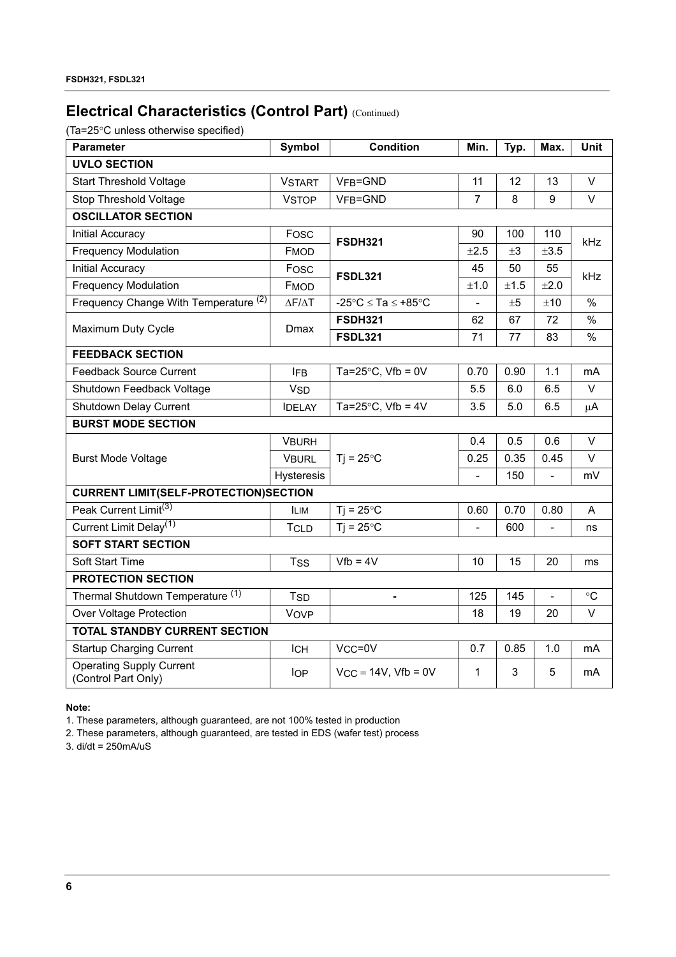## **Electrical Characteristics (Control Part) (Continued)**

(Ta=25°C unless otherwise specified)

| <b>Parameter</b>                                       | <b>Symbol</b>         | <b>Condition</b>                                 | Min.           | Typ.    | Max.          | Unit            |  |  |
|--------------------------------------------------------|-----------------------|--------------------------------------------------|----------------|---------|---------------|-----------------|--|--|
| <b>UVLO SECTION</b>                                    |                       |                                                  |                |         |               |                 |  |  |
| <b>Start Threshold Voltage</b>                         | <b>VSTART</b>         | VFB=GND                                          | 11             | 12      | 13            | V               |  |  |
| Stop Threshold Voltage                                 | <b>VSTOP</b>          | VFB=GND                                          | $\overline{7}$ | 8       | 9             | $\vee$          |  |  |
| <b>OSCILLATOR SECTION</b>                              |                       |                                                  |                |         |               |                 |  |  |
| Initial Accuracy                                       | Fosc                  | <b>FSDH321</b>                                   | 90             | 100     | 110           | kHz             |  |  |
| <b>Frequency Modulation</b>                            | <b>FMOD</b>           |                                                  | ±2.5           | $\pm 3$ | ±3.5          |                 |  |  |
| Initial Accuracy                                       | Fosc                  | FSDL321                                          | 45             | 50      | 55            | kHz.            |  |  |
| <b>Frequency Modulation</b>                            | <b>FMOD</b>           |                                                  | ±1.0           | ±1.5    | ±2.0          |                 |  |  |
| Frequency Change With Temperature (2)                  | ΔΕ/ΔΤ                 | -25 $^{\circ}$ C $\le$ Ta $\le$ +85 $^{\circ}$ C | $\overline{a}$ | ±5      | ±10           | $\frac{0}{0}$   |  |  |
| Maximum Duty Cycle                                     | Dmax                  | <b>FSDH321</b>                                   | 62             | 67      | 72            | $\frac{0}{0}$   |  |  |
|                                                        |                       | <b>FSDL321</b>                                   | 71             | 77      | 83            | %               |  |  |
| <b>FEEDBACK SECTION</b>                                |                       |                                                  |                |         |               |                 |  |  |
| <b>Feedback Source Current</b>                         | <b>IFB</b>            | Ta=25 $\degree$ C, Vfb = 0V                      | 0.70           | 0.90    | 1.1           | mA              |  |  |
| Shutdown Feedback Voltage                              | <b>V<sub>SD</sub></b> |                                                  | 5.5            | 6.0     | 6.5           | V               |  |  |
| Shutdown Delay Current                                 | <b>IDELAY</b>         | Ta=25 $\degree$ C, Vfb = 4V                      | 3.5            | 5.0     | 6.5           | $\mu$ A         |  |  |
| <b>BURST MODE SECTION</b>                              |                       |                                                  |                |         |               |                 |  |  |
|                                                        | <b>VBURH</b>          |                                                  | 0.4            | 0.5     | 0.6           | $\vee$          |  |  |
| <b>Burst Mode Voltage</b>                              | <b>VBURL</b>          | $Ti = 25^{\circ}C$                               | 0.25           | 0.35    | 0.45          | V               |  |  |
|                                                        | <b>Hysteresis</b>     |                                                  | ÷,             | 150     | $\frac{1}{2}$ | mV              |  |  |
| <b>CURRENT LIMIT(SELF-PROTECTION)SECTION</b>           |                       |                                                  |                |         |               |                 |  |  |
| Peak Current Limit <sup>(3)</sup>                      | <b>ILIM</b>           | $Tj = 25^{\circ}C$                               | 0.60           | 0.70    | 0.80          | A               |  |  |
| Current Limit Delay <sup>(1)</sup>                     | <b>TCLD</b>           | $Ti = 25^{\circ}C$                               | $\overline{a}$ | 600     |               | ns              |  |  |
| <b>SOFT START SECTION</b>                              |                       |                                                  |                |         |               |                 |  |  |
| Soft Start Time                                        | <b>TSS</b>            | $Vfb = 4V$                                       | 10             | 15      | 20            | ms              |  |  |
| <b>PROTECTION SECTION</b>                              |                       |                                                  |                |         |               |                 |  |  |
| Thermal Shutdown Temperature <sup>(1)</sup>            | <b>TSD</b>            |                                                  | 125            | 145     |               | $\rm ^{\circ}C$ |  |  |
| <b>Over Voltage Protection</b>                         | Vove                  |                                                  | 18             | 19      | 20            | $\vee$          |  |  |
| <b>TOTAL STANDBY CURRENT SECTION</b>                   |                       |                                                  |                |         |               |                 |  |  |
| <b>Startup Charging Current</b>                        | <b>ICH</b>            | V <sub>CC</sub> =0V                              | 0.7            | 0.85    | 1.0           | mA              |  |  |
| <b>Operating Supply Current</b><br>(Control Part Only) | <b>IOP</b>            | $V_{CC} = 14V$ , $Vfb = 0V$                      | $\mathbf{1}$   | 3       | 5             | mA              |  |  |

**Note:**

1. These parameters, although guaranteed, are not 100% tested in production

2. These parameters, although guaranteed, are tested in EDS (wafer test) process

3. di/dt = 250mA/uS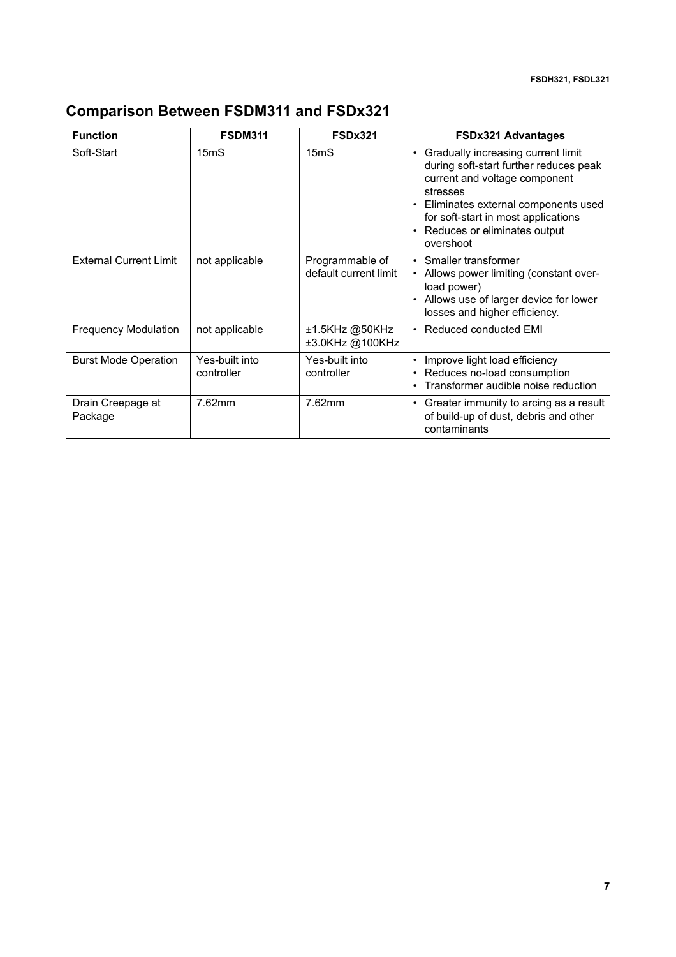## **Comparison Between FSDM311 and FSDx321**

| <b>Function</b>               | <b>FSDM311</b>               | <b>FSDx321</b>                           | <b>FSDx321 Advantages</b>                                                                                                                                                                                                                            |
|-------------------------------|------------------------------|------------------------------------------|------------------------------------------------------------------------------------------------------------------------------------------------------------------------------------------------------------------------------------------------------|
| Soft-Start                    | 15 <sub>m</sub> S            | 15 <sub>m</sub> S                        | Gradually increasing current limit<br>during soft-start further reduces peak<br>current and voltage component<br>stresses<br>Eliminates external components used<br>for soft-start in most applications<br>Reduces or eliminates output<br>overshoot |
| <b>External Current Limit</b> | not applicable               | Programmable of<br>default current limit | Smaller transformer<br>Allows power limiting (constant over-<br>load power)<br>• Allows use of larger device for lower<br>losses and higher efficiency.                                                                                              |
| <b>Frequency Modulation</b>   | not applicable               | ±1.5KHz @50KHz<br>±3.0KHz @100KHz        | Reduced conducted EMI                                                                                                                                                                                                                                |
| <b>Burst Mode Operation</b>   | Yes-built into<br>controller | Yes-built into<br>controller             | Improve light load efficiency<br>Reduces no-load consumption<br>Transformer audible noise reduction                                                                                                                                                  |
| Drain Creepage at<br>Package  | 7.62mm                       | 7.62mm                                   | Greater immunity to arcing as a result<br>of build-up of dust, debris and other<br>contaminants                                                                                                                                                      |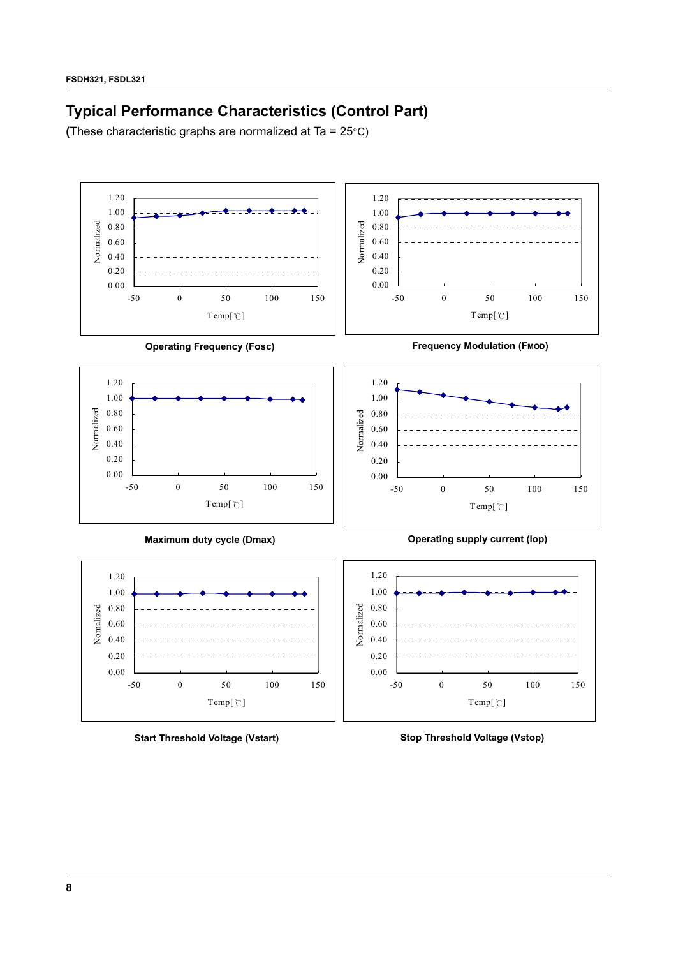## **Typical Performance Characteristics (Control Part)**

**(**These characteristic graphs are normalized at Ta = 25°C)



**Start Threshold Voltage (Vstart)**

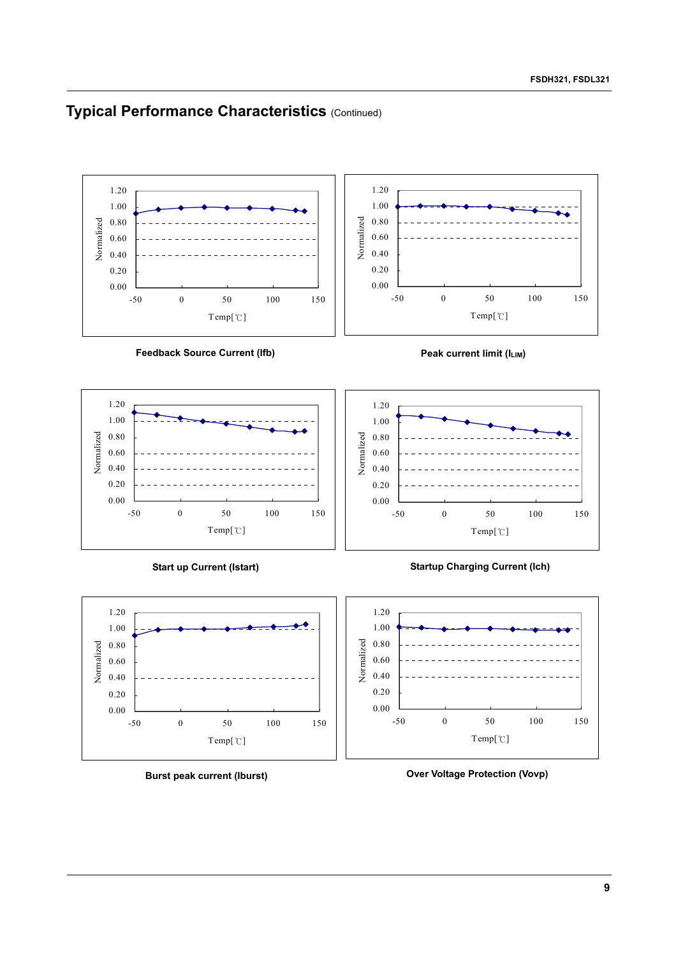### **Typical Performance Characteristics (Continued)**



**Feedback Source Current (Ifb)**







**Start up Current (Istart)**



**Burst peak current (Iburst)**

**Startup Charging Current (Ich)**



**Over Voltage Protection (Vovp)**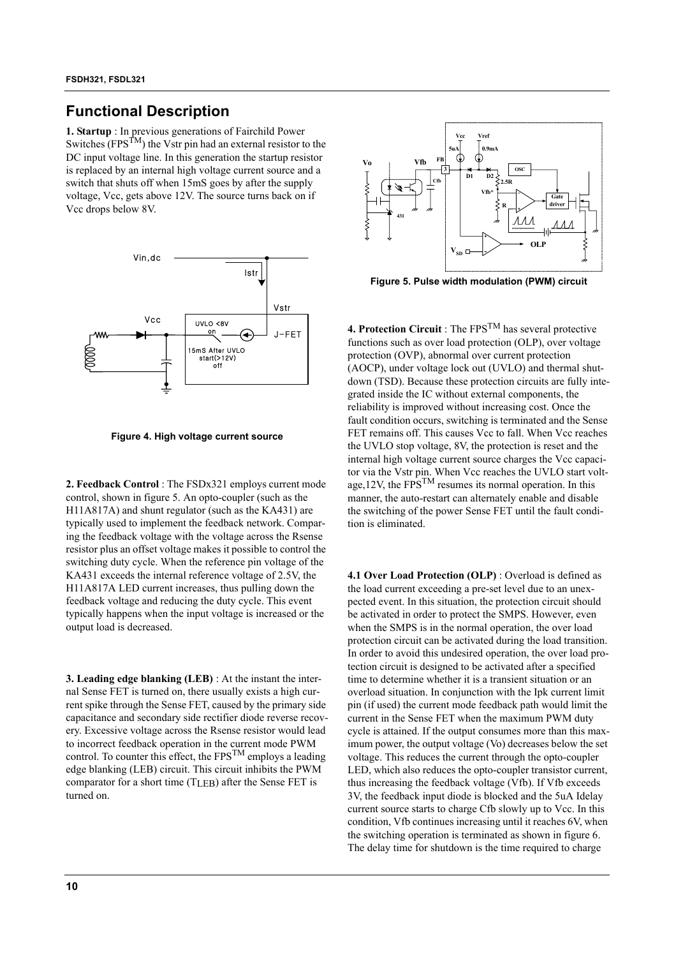### **Functional Description**

**1. Startup** : In previous generations of Fairchild Power Switches ( $FPS^{TM}$ ) the Vstr pin had an external resistor to the DC input voltage line. In this generation the startup resistor is replaced by an internal high voltage current source and a switch that shuts off when 15mS goes by after the supply voltage, Vcc, gets above 12V. The source turns back on if Vcc drops below 8V.



**Figure 4. High voltage current source**

**2. Feedback Control** : The FSDx321 employs current mode control, shown in figure 5. An opto-coupler (such as the H11A817A) and shunt regulator (such as the KA431) are typically used to implement the feedback network. Comparing the feedback voltage with the voltage across the Rsense resistor plus an offset voltage makes it possible to control the switching duty cycle. When the reference pin voltage of the KA431 exceeds the internal reference voltage of 2.5V, the H11A817A LED current increases, thus pulling down the feedback voltage and reducing the duty cycle. This event typically happens when the input voltage is increased or the output load is decreased.

**3. Leading edge blanking (LEB)** : At the instant the internal Sense FET is turned on, there usually exists a high current spike through the Sense FET, caused by the primary side capacitance and secondary side rectifier diode reverse recovery. Excessive voltage across the Rsense resistor would lead to incorrect feedback operation in the current mode PWM control. To counter this effect, the  $FPS^{TM}$  employs a leading edge blanking (LEB) circuit. This circuit inhibits the PWM comparator for a short time (TLEB) after the Sense FET is turned on.



**Figure 5. Pulse width modulation (PWM) circuit**

**4. Protection Circuit** : The FPSTM has several protective functions such as over load protection (OLP), over voltage protection (OVP), abnormal over current protection (AOCP), under voltage lock out (UVLO) and thermal shutdown (TSD). Because these protection circuits are fully integrated inside the IC without external components, the reliability is improved without increasing cost. Once the fault condition occurs, switching is terminated and the Sense FET remains off. This causes Vcc to fall. When Vcc reaches the UVLO stop voltage, 8V, the protection is reset and the internal high voltage current source charges the Vcc capacitor via the Vstr pin. When Vcc reaches the UVLO start voltage,  $12V$ , the FPS<sup>TM</sup> resumes its normal operation. In this manner, the auto-restart can alternately enable and disable the switching of the power Sense FET until the fault condition is eliminated.

**4.1 Over Load Protection (OLP)** : Overload is defined as the load current exceeding a pre-set level due to an unexpected event. In this situation, the protection circuit should be activated in order to protect the SMPS. However, even when the SMPS is in the normal operation, the over load protection circuit can be activated during the load transition. In order to avoid this undesired operation, the over load protection circuit is designed to be activated after a specified time to determine whether it is a transient situation or an overload situation. In conjunction with the Ipk current limit pin (if used) the current mode feedback path would limit the current in the Sense FET when the maximum PWM duty cycle is attained. If the output consumes more than this maximum power, the output voltage (Vo) decreases below the set voltage. This reduces the current through the opto-coupler LED, which also reduces the opto-coupler transistor current, thus increasing the feedback voltage (Vfb). If Vfb exceeds 3V, the feedback input diode is blocked and the 5uA Idelay current source starts to charge Cfb slowly up to Vcc. In this condition, Vfb continues increasing until it reaches 6V, when the switching operation is terminated as shown in figure 6. The delay time for shutdown is the time required to charge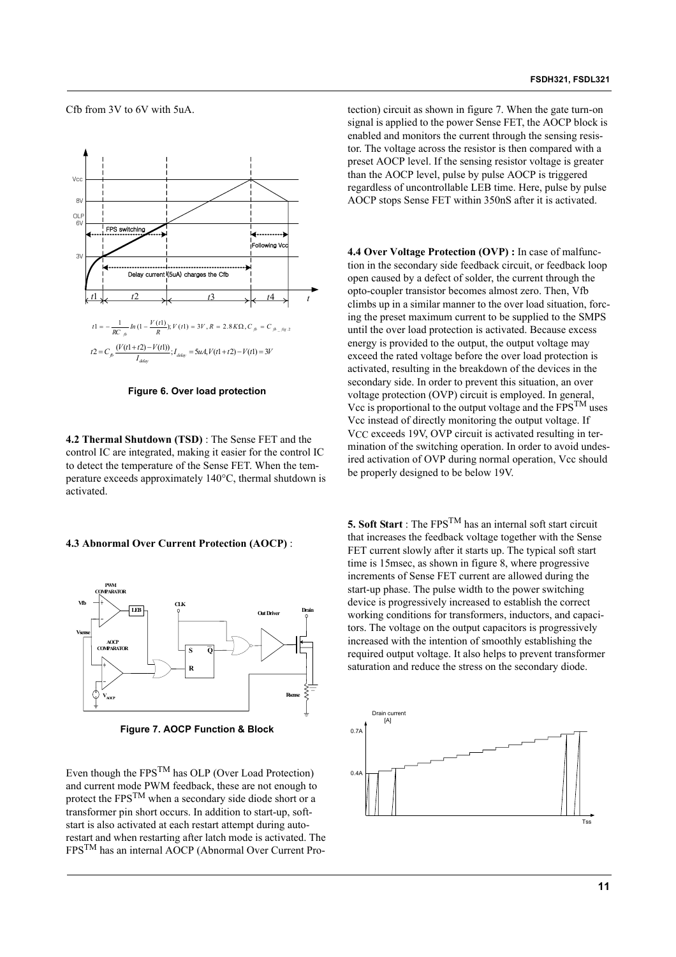**FSDH321, FSDL321**

Cfb from 3V to 6V with 5uA.



**Figure 6. Over load protection**

**4.2 Thermal Shutdown (TSD)** : The Sense FET and the control IC are integrated, making it easier for the control IC to detect the temperature of the Sense FET. When the temperature exceeds approximately 140°C, thermal shutdown is activated.

#### **4.3 Abnormal Over Current Protection (AOCP)** :



**Figure 7. AOCP Function & Block**

Even though the FPSTM has OLP (Over Load Protection) and current mode PWM feedback, these are not enough to protect the FPSTM when a secondary side diode short or a transformer pin short occurs. In addition to start-up, softstart is also activated at each restart attempt during autorestart and when restarting after latch mode is activated. The FPSTM has an internal AOCP (Abnormal Over Current Protection) circuit as shown in figure 7. When the gate turn-on signal is applied to the power Sense FET, the AOCP block is enabled and monitors the current through the sensing resistor. The voltage across the resistor is then compared with a preset AOCP level. If the sensing resistor voltage is greater than the AOCP level, pulse by pulse AOCP is triggered regardless of uncontrollable LEB time. Here, pulse by pulse AOCP stops Sense FET within 350nS after it is activated.

**4.4 Over Voltage Protection (OVP) :** In case of malfunction in the secondary side feedback circuit, or feedback loop open caused by a defect of solder, the current through the opto-coupler transistor becomes almost zero. Then, Vfb climbs up in a similar manner to the over load situation, forcing the preset maximum current to be supplied to the SMPS until the over load protection is activated. Because excess energy is provided to the output, the output voltage may exceed the rated voltage before the over load protection is activated, resulting in the breakdown of the devices in the secondary side. In order to prevent this situation, an over voltage protection (OVP) circuit is employed. In general, Vcc is proportional to the output voltage and the  $FPS^{TM}$  uses Vcc instead of directly monitoring the output voltage. If V<sub>CC</sub> exceeds 19V, OVP circuit is activated resulting in termination of the switching operation. In order to avoid undesired activation of OVP during normal operation, Vcc should be properly designed to be below 19V.

**5. Soft Start** : The FPS<sup>TM</sup> has an internal soft start circuit that increases the feedback voltage together with the Sense FET current slowly after it starts up. The typical soft start time is 15msec, as shown in figure 8, where progressive increments of Sense FET current are allowed during the start-up phase. The pulse width to the power switching device is progressively increased to establish the correct working conditions for transformers, inductors, and capacitors. The voltage on the output capacitors is progressively increased with the intention of smoothly establishing the required output voltage. It also helps to prevent transformer saturation and reduce the stress on the secondary diode.

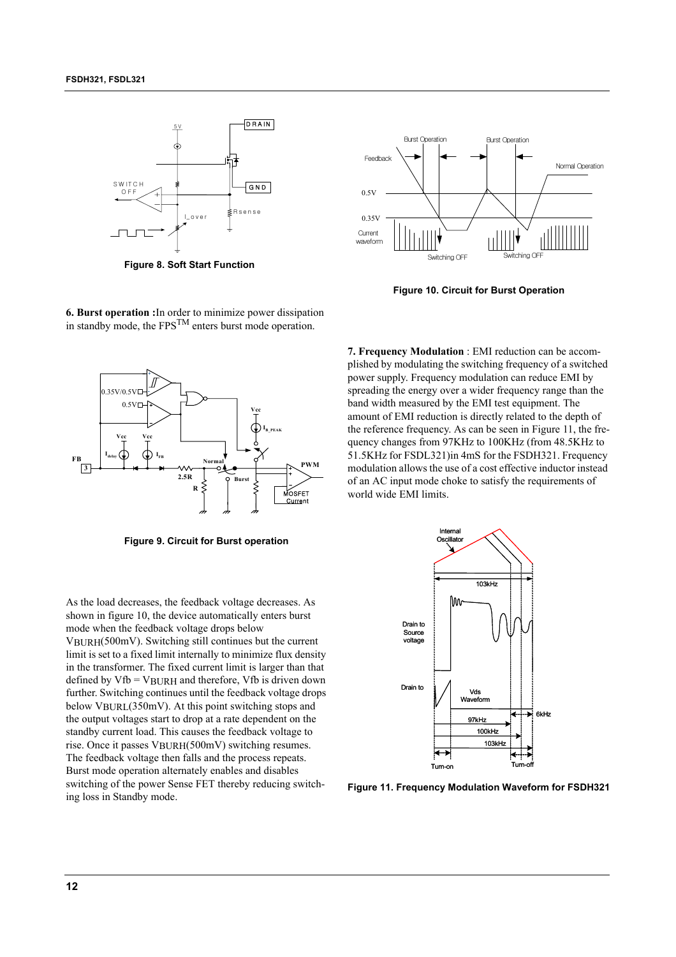

**Figure 8. Soft Start Function**



**Figure 10. Circuit for Burst Operation**





**Figure 9. Circuit for Burst operation**

As the load decreases, the feedback voltage decreases. As shown in figure 10, the device automatically enters burst mode when the feedback voltage drops below VBURH(500mV). Switching still continues but the current limit is set to a fixed limit internally to minimize flux density in the transformer. The fixed current limit is larger than that defined by  $Vfb = VBURH$  and therefore,  $Vfb$  is driven down further. Switching continues until the feedback voltage drops below VBURL(350mV). At this point switching stops and the output voltages start to drop at a rate dependent on the standby current load. This causes the feedback voltage to rise. Once it passes VBURH(500mV) switching resumes. The feedback voltage then falls and the process repeats. Burst mode operation alternately enables and disables switching of the power Sense FET thereby reducing switching loss in Standby mode.

**7. Frequency Modulation** : EMI reduction can be accomplished by modulating the switching frequency of a switched power supply. Frequency modulation can reduce EMI by spreading the energy over a wider frequency range than the band width measured by the EMI test equipment. The amount of EMI reduction is directly related to the depth of the reference frequency. As can be seen in Figure 11, the frequency changes from 97KHz to 100KHz (from 48.5KHz to 51.5KHz for FSDL321)in 4mS for the FSDH321. Frequency modulation allows the use of a cost effective inductor instead of an AC input mode choke to satisfy the requirements of world wide EMI limits.



**Figure 11. Frequency Modulation Waveform for FSDH321**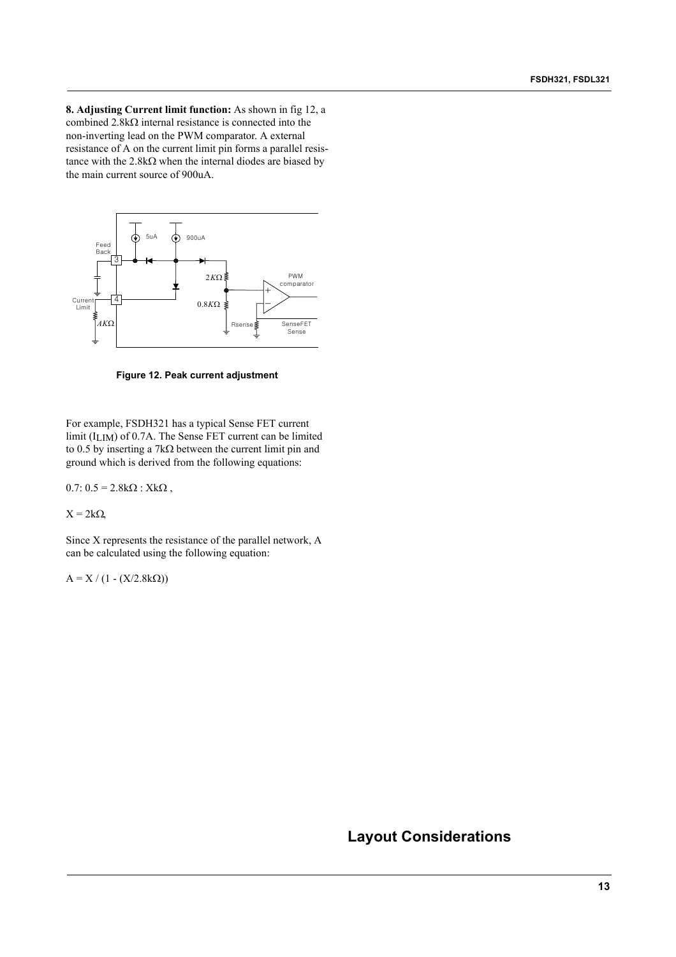**8. Adjusting Current limit function:** As shown in fig 12, a combined 2.8kΩ internal resistance is connected into the non-inverting lead on the PWM comparator. A external resistance of A on the current limit pin forms a parallel resistance with the  $2.8k\Omega$  when the internal diodes are biased by the main current source of 900uA.



**Figure 12. Peak current adjustment**

For example, FSDH321 has a typical Sense FET current limit (ILIM) of 0.7A. The Sense FET current can be limited to 0.5 by inserting a 7kΩ between the current limit pin and ground which is derived from the following equations:

 $0.7: 0.5 = 2.8k\Omega$ : Xk $\Omega$ ,

 $X = 2k\Omega$ 

Since X represents the resistance of the parallel network, A can be calculated using the following equation:

 $A = X / (1 - (X/2.8kΩ))$ 

### **Layout Considerations**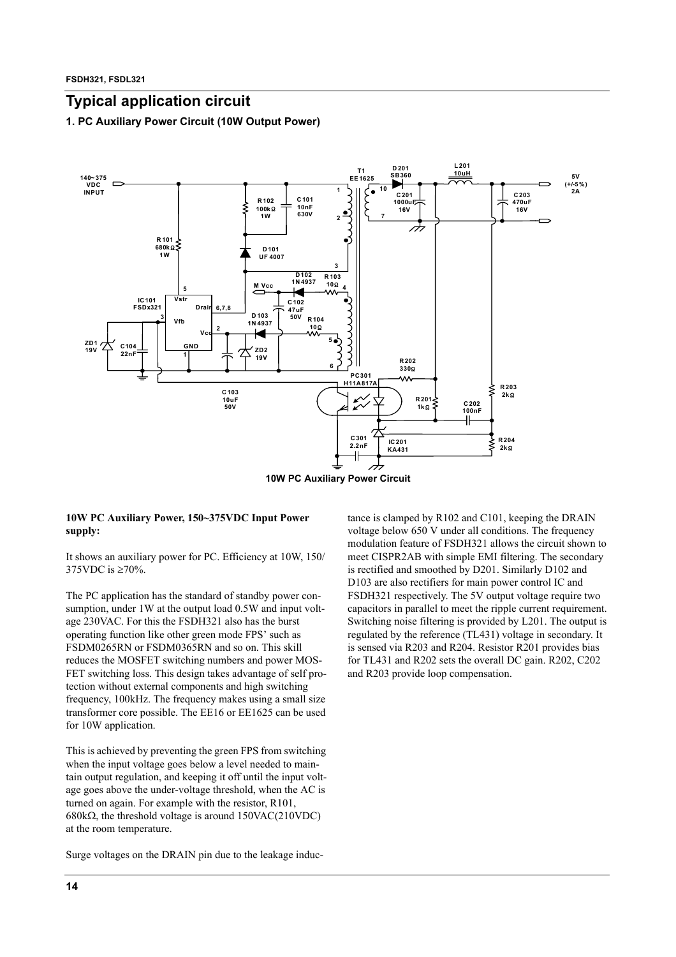### **Typical application circuit**

**1. PC Auxiliary Power Circuit (10W Output Power)**



#### **10W PC Auxiliary Power, 150~375VDC Input Power supply:**

It shows an auxiliary power for PC. Efficiency at 10W, 150/ 375VDC is ≥70%.

The PC application has the standard of standby power consumption, under 1W at the output load 0.5W and input voltage 230VAC. For this the FSDH321 also has the burst operating function like other green mode FPS' such as FSDM0265RN or FSDM0365RN and so on. This skill reduces the MOSFET switching numbers and power MOS-FET switching loss. This design takes advantage of self protection without external components and high switching frequency, 100kHz. The frequency makes using a small size transformer core possible. The EE16 or EE1625 can be used for 10W application.

This is achieved by preventing the green FPS from switching when the input voltage goes below a level needed to maintain output regulation, and keeping it off until the input voltage goes above the under-voltage threshold, when the AC is turned on again. For example with the resistor, R101, 680kΩ, the threshold voltage is around 150VAC(210VDC) at the room temperature.

Surge voltages on the DRAIN pin due to the leakage induc-

tance is clamped by R102 and C101, keeping the DRAIN voltage below 650 V under all conditions. The frequency modulation feature of FSDH321 allows the circuit shown to meet CISPR2AB with simple EMI filtering. The secondary is rectified and smoothed by D201. Similarly D102 and D103 are also rectifiers for main power control IC and FSDH321 respectively. The 5V output voltage require two capacitors in parallel to meet the ripple current requirement. Switching noise filtering is provided by L201. The output is regulated by the reference (TL431) voltage in secondary. It is sensed via R203 and R204. Resistor R201 provides bias for TL431 and R202 sets the overall DC gain. R202, C202 and R203 provide loop compensation.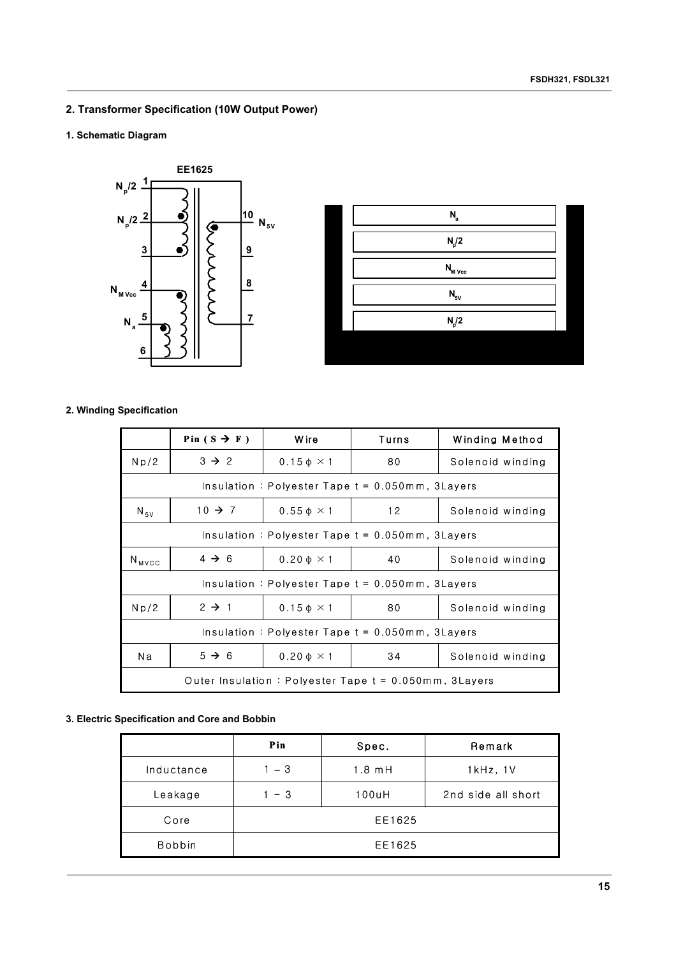### **2. Transformer Specification (10W Output Power)**

### **1. Schematic Diagram**





### **2. Winding Specification**

|                                                          | Pin $(S \rightarrow F)$ | <b>Wire</b>                  | Turns                                              | Winding Method   |  |
|----------------------------------------------------------|-------------------------|------------------------------|----------------------------------------------------|------------------|--|
| Np/2                                                     | $3 \rightarrow 2$       | $0.15 \phi \times 1$         | 80                                                 | Solenoid winding |  |
|                                                          |                         |                              | Insulation: Polyester Tape $t = 0.050$ mm, 3Layers |                  |  |
| $N_{\rm sv}$                                             | $10 \rightarrow 7$      | $0.55 \phi \times 1$         | 12                                                 | Solenoid winding |  |
| Insulation: Polyester Tape $t = 0.050$ mm, 3Layers       |                         |                              |                                                    |                  |  |
| $N_{MVCC}$                                               | $4 \rightarrow 6$       | $0.20 \phi \times 1$         | 40                                                 | Solenoid winding |  |
|                                                          |                         |                              | Insulation: Polyester Tape $t = 0.050$ mm, 3Layers |                  |  |
| Np/2                                                     | $2 \rightarrow 1$       | $0.15 \phi \times 1$         | 80                                                 | Solenoid winding |  |
| Insulation: Polyester Tape $t = 0.050$ mm, 3Layers       |                         |                              |                                                    |                  |  |
| Na                                                       | $5 \rightarrow 6$       | $0.20 \text{ }\Phi \times 1$ | 34                                                 | Solenoid winding |  |
| Outer Insulation: Polyester Tape $t = 0.050$ mm, 3Layers |                         |                              |                                                    |                  |  |

### **3. Electric Specification and Core and Bobbin**

|               | Pin    | Spec.    | Remark             |  |  |
|---------------|--------|----------|--------------------|--|--|
| Inductance    | $-3$   | $1.8$ mH | $1kHz$ , $1V$      |  |  |
| Leakage       | - 3    | 100uH    | 2nd side all short |  |  |
| Core          | EE1625 |          |                    |  |  |
| <b>Bobbin</b> | EE1625 |          |                    |  |  |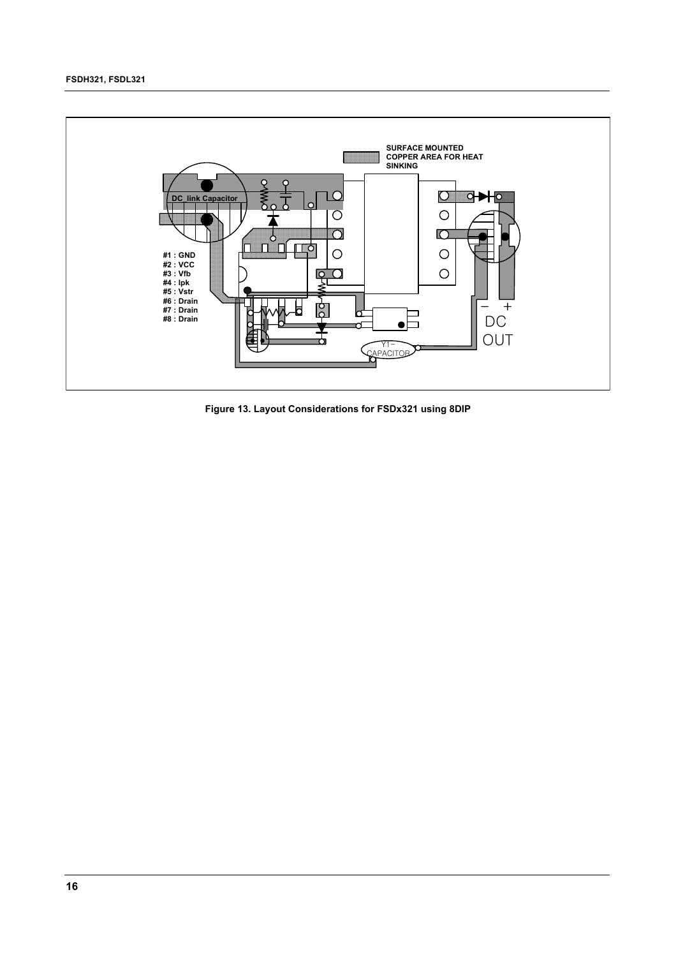

**Figure 13. Layout Considerations for FSDx321 using 8DIP**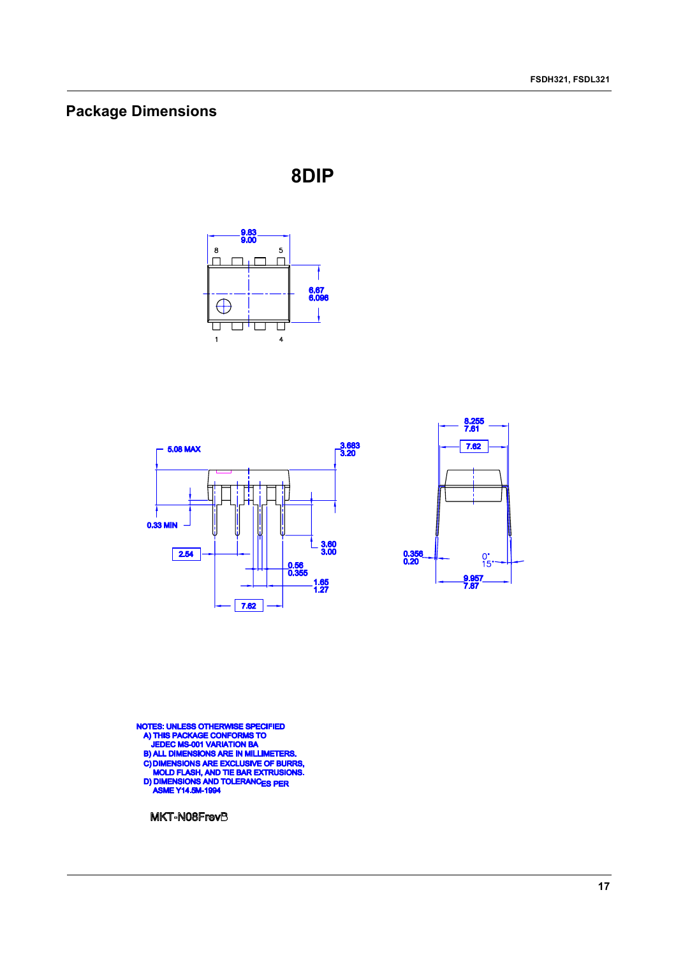## **Package Dimensions**







NOTES: UNLESS OTHERWISE SPECIFIED<br>A) THIS PACKAGE CONFORMS TO<br>JEDEC MS-001 VARIATION BA<br>B) ALL DIMENSIONS ARE IN MILLIMETERS.<br>C) DIMENSIONS ARE EXCLUSIVE OF BURRS,<br>MOLD FLASH, AND TIE BAR EXTRUSIONS.<br>D) DIMENSIONS AND TOLE

MKT-N08FrevB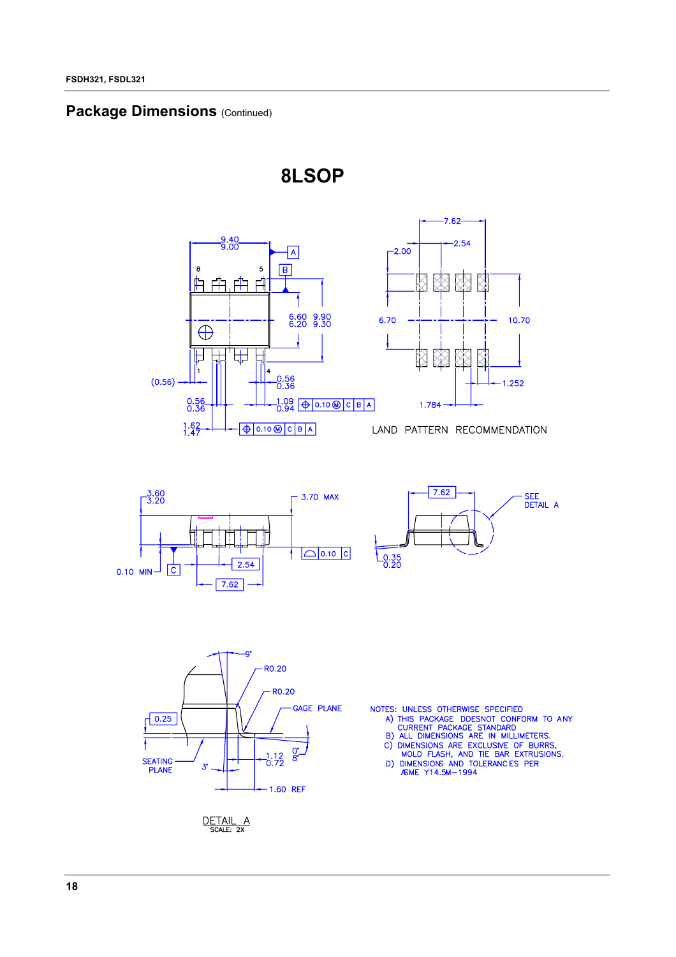### **Package Dimensions (Continued)**







10.70

1.252







- 
- 
- 

DETAIL A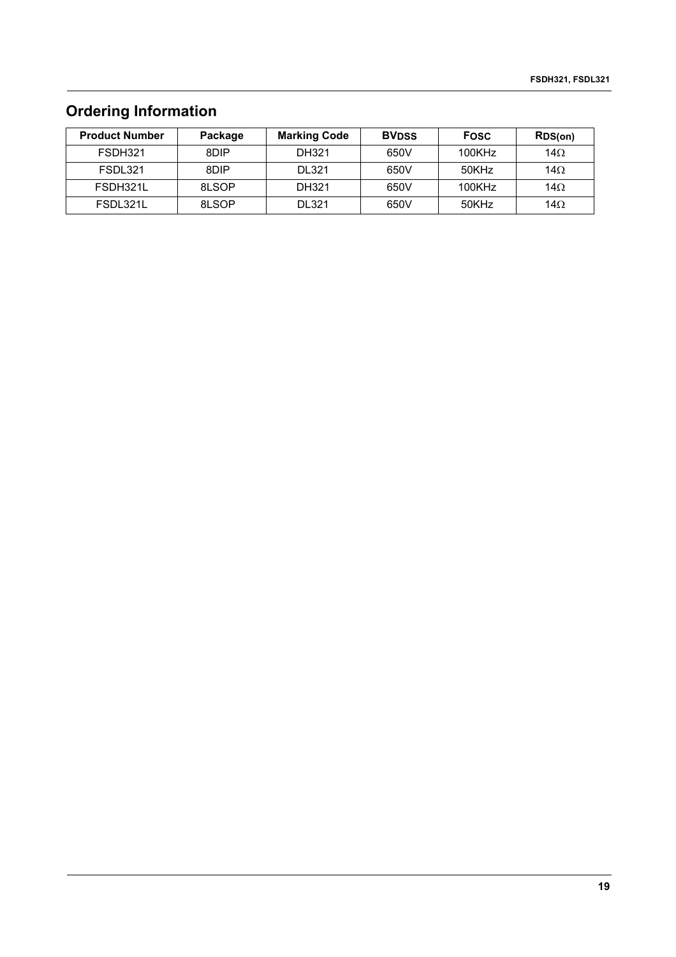## **Ordering Information**

| <b>Product Number</b> | Package | <b>Marking Code</b> | <b>BVDSS</b> | <b>Fosc</b> | RDS(on)     |
|-----------------------|---------|---------------------|--------------|-------------|-------------|
| FSDH321               | 8DIP    | DH321               | 650V         | 100KHz      | 14 $\Omega$ |
| FSDL321               | 8DIP    | <b>DL321</b>        | 650V         | 50KHz       | 14 $\Omega$ |
| FSDH321L              | 8LSOP   | DH321               | 650V         | $100K$ Hz   | 14 $\Omega$ |
| FSDL321L              | 8LSOP   | <b>DL321</b>        | 650V         | 50KHz       | 14 $\Omega$ |